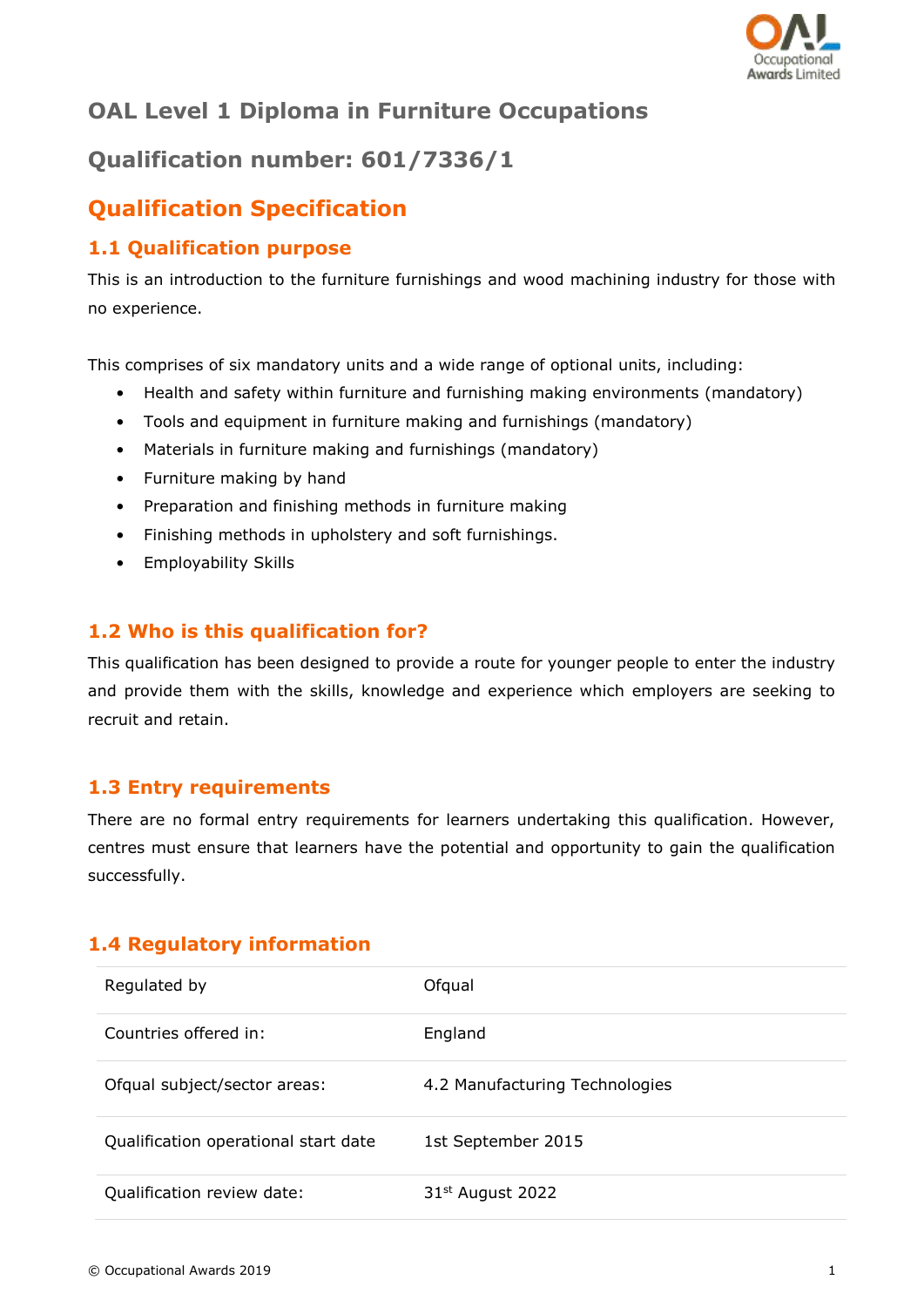

# **OAL Level 1 Diploma in Furniture Occupations**

# **Qualification number: 601/7336/1**

# **Qualification Specification**

## **1.1 Qualification purpose**

This is an introduction to the furniture furnishings and wood machining industry for those with no experience.

This comprises of six mandatory units and a wide range of optional units, including:

- Health and safety within furniture and furnishing making environments (mandatory)
- Tools and equipment in furniture making and furnishings (mandatory)
- Materials in furniture making and furnishings (mandatory)
- Furniture making by hand
- Preparation and finishing methods in furniture making
- Finishing methods in upholstery and soft furnishings.
- Employability Skills

## **1.2 Who is this qualification for?**

This qualification has been designed to provide a route for younger people to enter the industry and provide them with the skills, knowledge and experience which employers are seeking to recruit and retain.

#### **1.3 Entry requirements**

There are no formal entry requirements for learners undertaking this qualification. However, centres must ensure that learners have the potential and opportunity to gain the qualification successfully.

## **1.4 Regulatory information**

| Regulated by                         | Ofqual                         |
|--------------------------------------|--------------------------------|
| Countries offered in:                | England                        |
| Ofqual subject/sector areas:         | 4.2 Manufacturing Technologies |
| Qualification operational start date | 1st September 2015             |
| Qualification review date:           | 31 <sup>st</sup> August 2022   |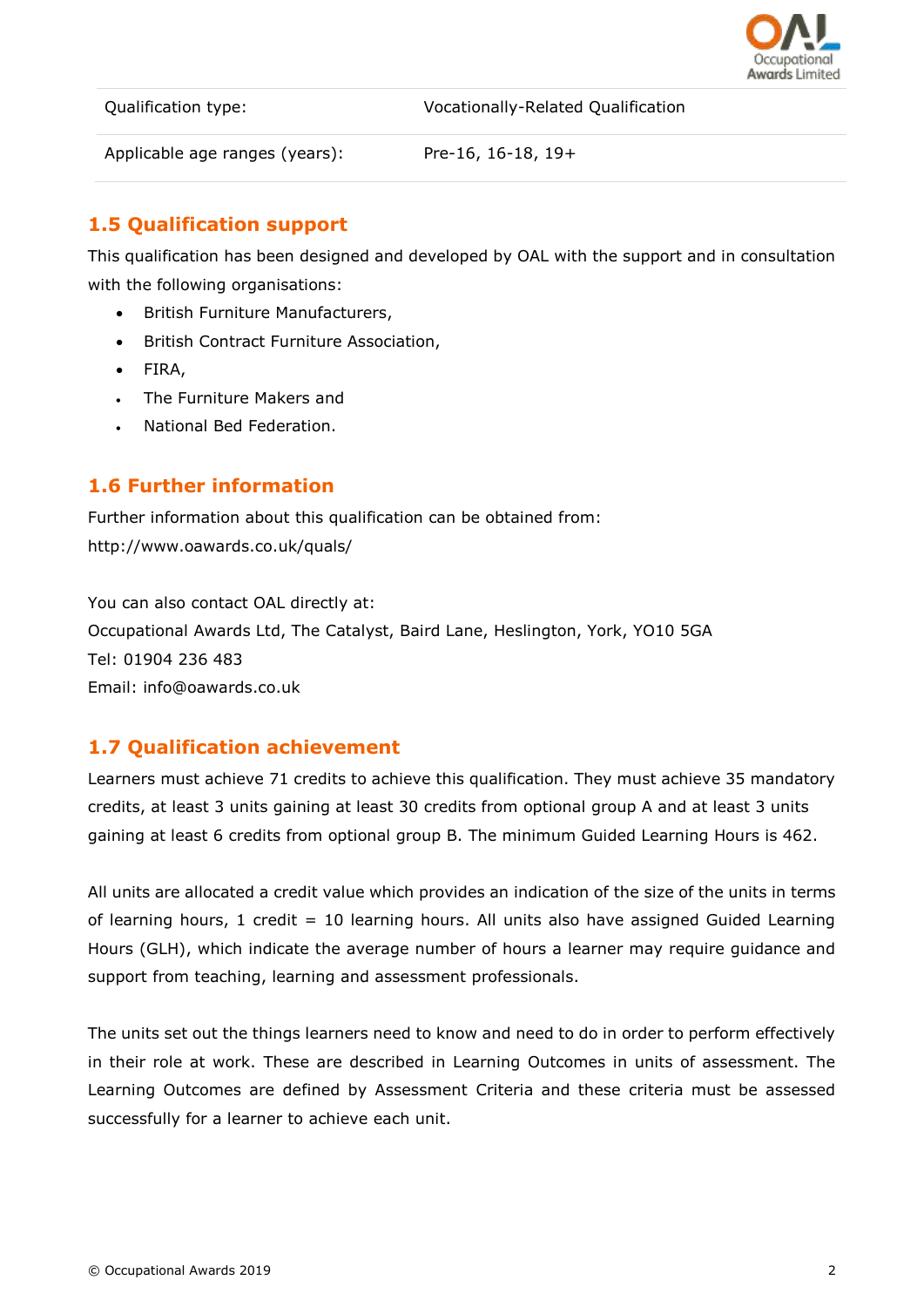

Qualification type: Vocationally-Related Qualification

Applicable age ranges (years): Pre-16, 16-18, 19+

# **1.5 Qualification support**

This qualification has been designed and developed by OAL with the support and in consultation with the following organisations:

- British Furniture Manufacturers,
- British Contract Furniture Association,
- FIRA,
- The Furniture Makers and
- National Bed Federation.

### **1.6 Further information**

Further information about this qualification can be obtained from: http://www.oawards.co.uk/quals/

You can also contact OAL directly at: Occupational Awards Ltd, The Catalyst, Baird Lane, Heslington, York, YO10 5GA Tel: 01904 236 483 Email: info@oawards.co.uk

## **1.7 Qualification achievement**

Learners must achieve 71 credits to achieve this qualification. They must achieve 35 mandatory credits, at least 3 units gaining at least 30 credits from optional group A and at least 3 units gaining at least 6 credits from optional group B. The minimum Guided Learning Hours is 462.

All units are allocated a credit value which provides an indication of the size of the units in terms of learning hours, 1 credit = 10 learning hours. All units also have assigned Guided Learning Hours (GLH), which indicate the average number of hours a learner may require guidance and support from teaching, learning and assessment professionals.

The units set out the things learners need to know and need to do in order to perform effectively in their role at work. These are described in Learning Outcomes in units of assessment. The Learning Outcomes are defined by Assessment Criteria and these criteria must be assessed successfully for a learner to achieve each unit.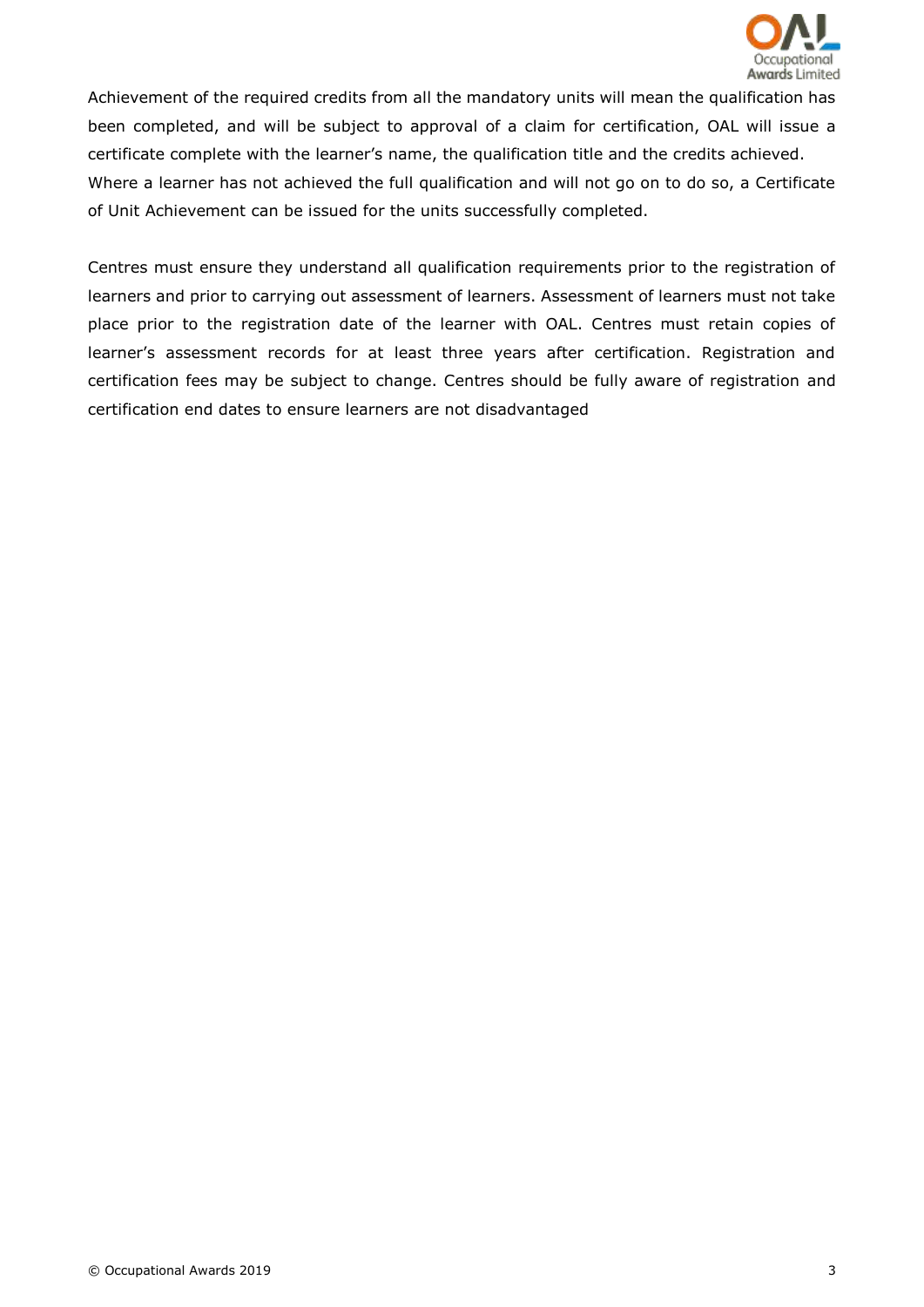

Achievement of the required credits from all the mandatory units will mean the qualification has been completed, and will be subject to approval of a claim for certification, OAL will issue a certificate complete with the learner's name, the qualification title and the credits achieved. Where a learner has not achieved the full qualification and will not go on to do so, a Certificate of Unit Achievement can be issued for the units successfully completed.

Centres must ensure they understand all qualification requirements prior to the registration of learners and prior to carrying out assessment of learners. Assessment of learners must not take place prior to the registration date of the learner with OAL. Centres must retain copies of learner's assessment records for at least three years after certification. Registration and certification fees may be subject to change. Centres should be fully aware of registration and certification end dates to ensure learners are not disadvantaged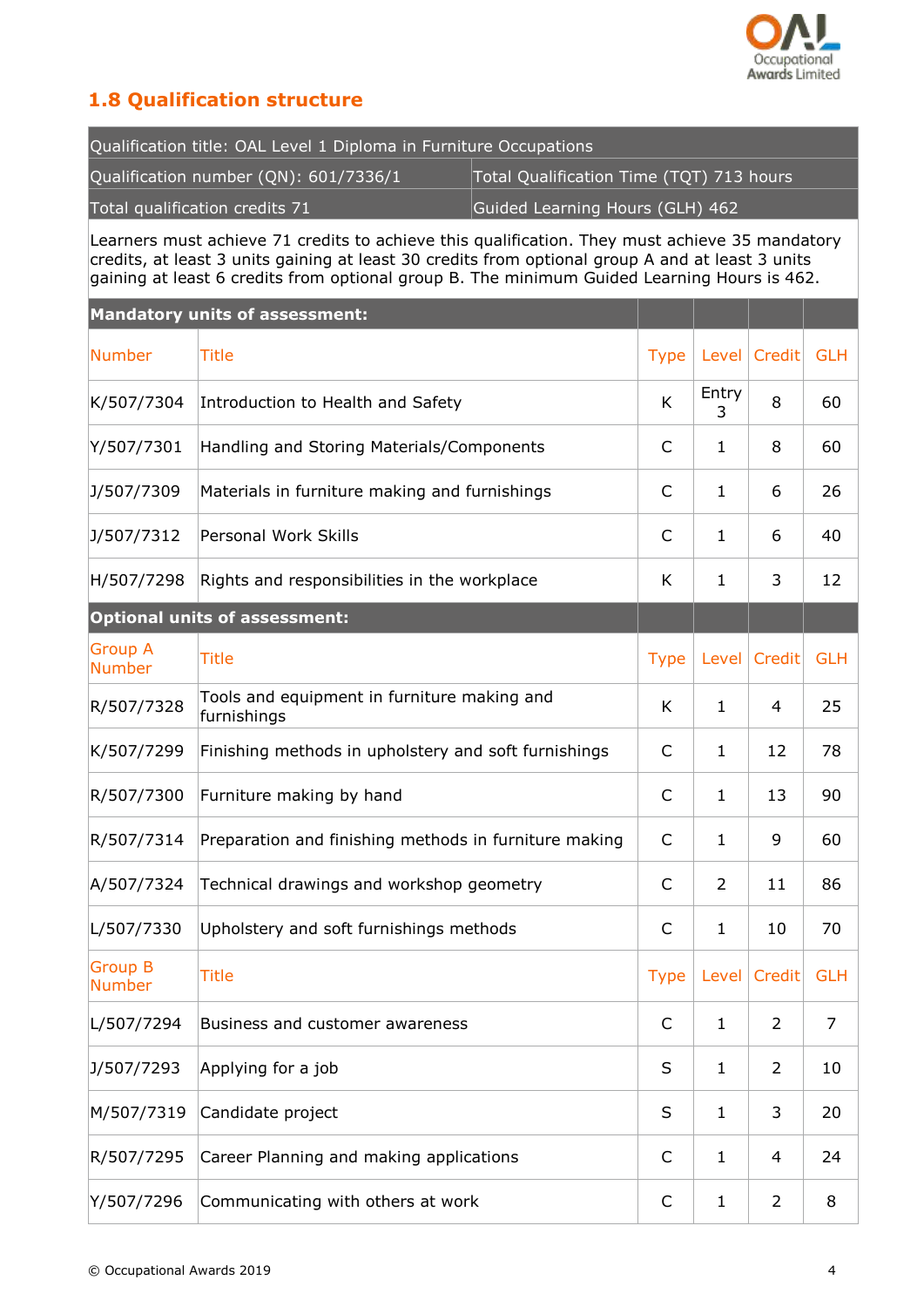

# **1.8 Qualification structure**

| Qualification title: OAL Level 1 Diploma in Furniture Occupations |                                          |  |  |
|-------------------------------------------------------------------|------------------------------------------|--|--|
| Qualification number (QN): 601/7336/1                             | Total Qualification Time (TQT) 713 hours |  |  |
| Total qualification credits 71                                    | Guided Learning Hours (GLH) 462          |  |  |

Learners must achieve 71 credits to achieve this qualification. They must achieve 35 mandatory credits, at least 3 units gaining at least 30 credits from optional group A and at least 3 units gaining at least 6 credits from optional group B. The minimum Guided Learning Hours is 462.

|                                 | <b>Mandatory units of assessment:</b>                      |              |              |                |            |
|---------------------------------|------------------------------------------------------------|--------------|--------------|----------------|------------|
| <b>Number</b>                   | Title                                                      | <b>Type</b>  | Level        | Credit         | <b>GLH</b> |
| K/507/7304                      | Introduction to Health and Safety                          | K            | Entry<br>3   | 8              | 60         |
| Y/507/7301                      | Handling and Storing Materials/Components                  | C            | 1            | 8              | 60         |
| J/507/7309                      | Materials in furniture making and furnishings              | C            | 1            | 6              | 26         |
| J/507/7312                      | Personal Work Skills                                       | C            | 1            | 6              | 40         |
| H/507/7298                      | Rights and responsibilities in the workplace               | K            | 1            | 3              | 12         |
|                                 | <b>Optional units of assessment:</b>                       |              |              |                |            |
| <b>Group A</b><br><b>Number</b> | <b>Title</b>                                               | <b>Type</b>  | Level        | Credit         | <b>GLH</b> |
| R/507/7328                      | Tools and equipment in furniture making and<br>furnishings | K            | 1            | 4              | 25         |
| K/507/7299                      | Finishing methods in upholstery and soft furnishings       | C            | 1            | 12             | 78         |
| R/507/7300                      | Furniture making by hand                                   | C            | 1            | 13             | 90         |
| R/507/7314                      | Preparation and finishing methods in furniture making      | $\mathsf{C}$ | 1            | 9              | 60         |
| A/507/7324                      | Technical drawings and workshop geometry                   | C            | 2            | 11             | 86         |
| L/507/7330                      | Upholstery and soft furnishings methods                    | C            | 1            | 10             | 70         |
| <b>Group B</b><br><b>Number</b> | <b>Title</b>                                               | <b>Type</b>  |              | Level Credit   | <b>GLH</b> |
| L/507/7294                      | Business and customer awareness                            | C            | 1            | $\overline{2}$ | 7          |
| J/507/7293                      | Applying for a job                                         | S            | $\mathbf{1}$ | 2              | 10         |
| M/507/7319                      | Candidate project                                          | S            | 1            | 3              | 20         |
| R/507/7295                      | Career Planning and making applications                    | $\mathsf{C}$ | 1            | 4              | 24         |
| Y/507/7296                      | Communicating with others at work                          | C            | 1            | $\overline{2}$ | 8          |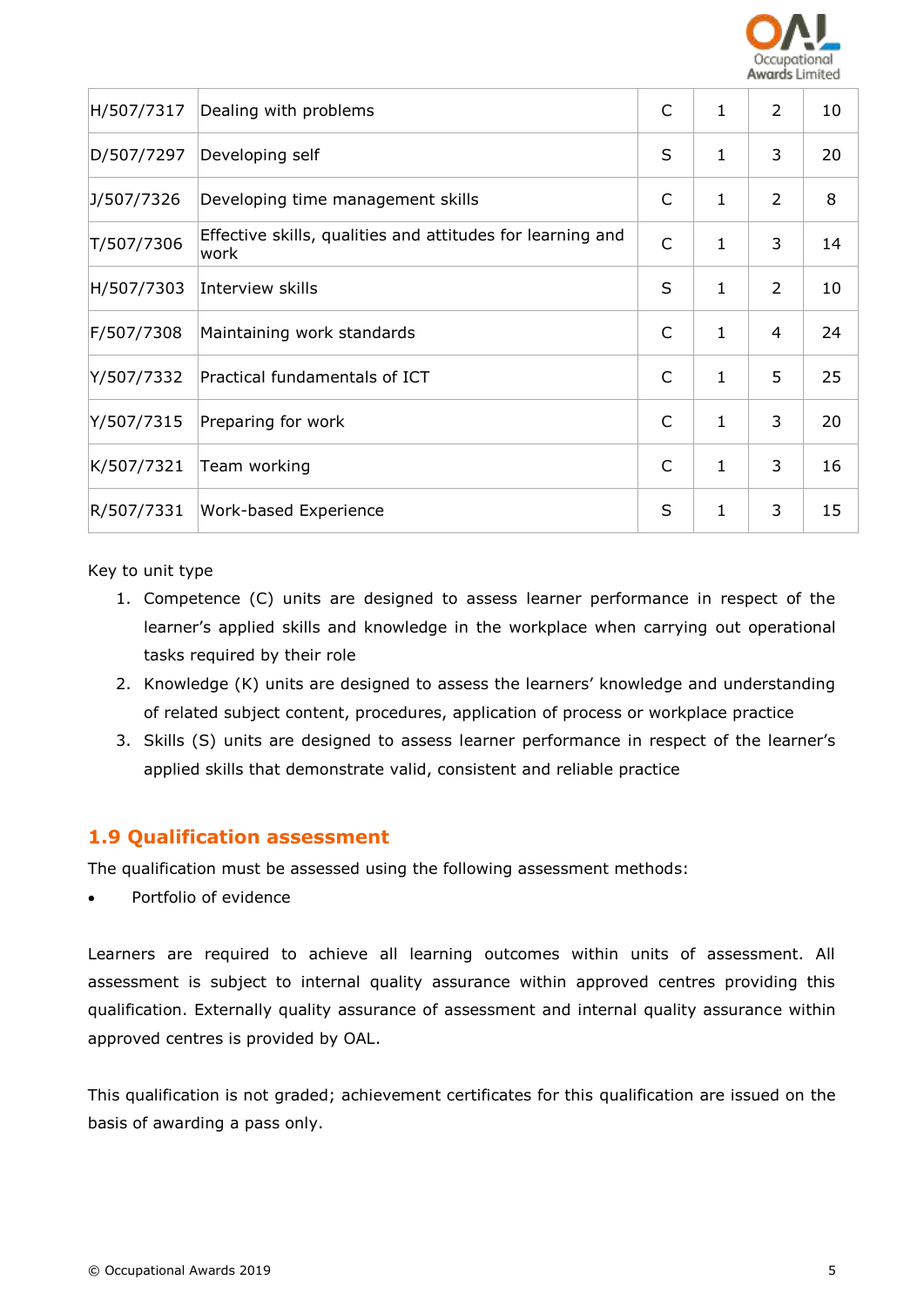

| H/507/7317 | Dealing with problems                                              | C            | 1            | 2 | 10 |
|------------|--------------------------------------------------------------------|--------------|--------------|---|----|
| D/507/7297 | Developing self                                                    | S            | $\mathbf{1}$ | 3 | 20 |
| J/507/7326 | Developing time management skills                                  | C            | 1            | 2 | 8  |
| T/507/7306 | Effective skills, qualities and attitudes for learning and<br>work | $\mathsf{C}$ | 1            | 3 | 14 |
| H/507/7303 | Interview skills                                                   | S            | 1            | 2 | 10 |
| F/507/7308 | Maintaining work standards                                         | $\mathsf{C}$ | $\mathbf 1$  | 4 | 24 |
| Y/507/7332 | Practical fundamentals of ICT                                      | $\mathsf{C}$ | $\mathbf{1}$ | 5 | 25 |
| Y/507/7315 | Preparing for work                                                 | C            | 1            | 3 | 20 |
| K/507/7321 | Team working                                                       | C            | $\mathbf 1$  | 3 | 16 |
| R/507/7331 | Work-based Experience                                              | S            | $\mathbf 1$  | 3 | 15 |

Key to unit type

- 1. Competence (C) units are designed to assess learner performance in respect of the learner's applied skills and knowledge in the workplace when carrying out operational tasks required by their role
- 2. Knowledge (K) units are designed to assess the learners' knowledge and understanding of related subject content, procedures, application of process or workplace practice
- 3. Skills (S) units are designed to assess learner performance in respect of the learner's applied skills that demonstrate valid, consistent and reliable practice

### **1.9 Qualification assessment**

The qualification must be assessed using the following assessment methods:

Portfolio of evidence

Learners are required to achieve all learning outcomes within units of assessment. All assessment is subject to internal quality assurance within approved centres providing this qualification. Externally quality assurance of assessment and internal quality assurance within approved centres is provided by OAL.

This qualification is not graded; achievement certificates for this qualification are issued on the basis of awarding a pass only.